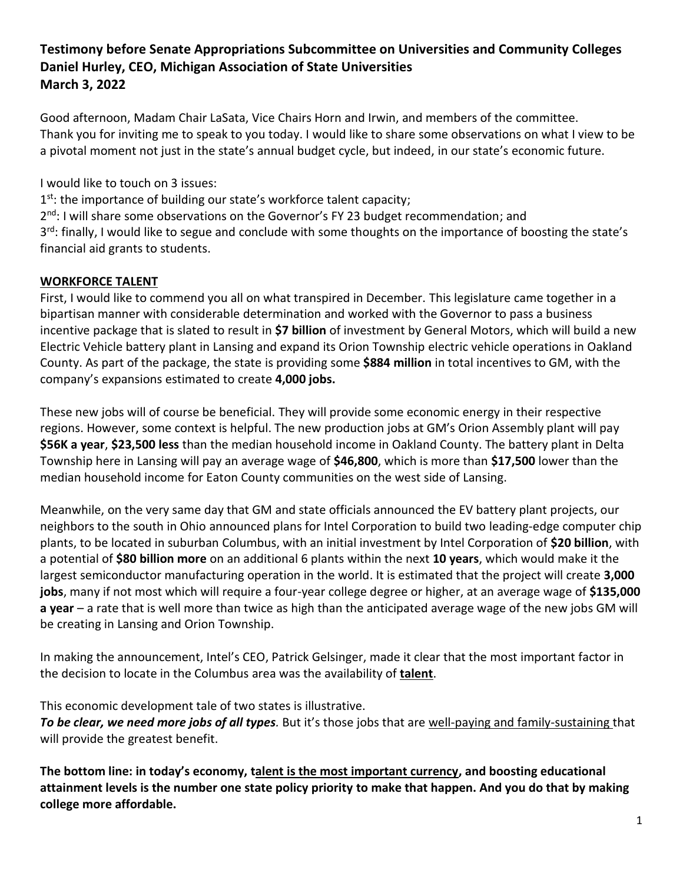# **Testimony before Senate Appropriations Subcommittee on Universities and Community Colleges Daniel Hurley, CEO, Michigan Association of State Universities March 3, 2022**

Good afternoon, Madam Chair LaSata, Vice Chairs Horn and Irwin, and members of the committee. Thank you for inviting me to speak to you today. I would like to share some observations on what I view to be a pivotal moment not just in the state's annual budget cycle, but indeed, in our state's economic future.

I would like to touch on 3 issues:

1<sup>st</sup>: the importance of building our state's workforce talent capacity; 2<sup>nd</sup>: I will share some observations on the Governor's FY 23 budget recommendation; and 3<sup>rd</sup>: finally, I would like to segue and conclude with some thoughts on the importance of boosting the state's financial aid grants to students.

# **WORKFORCE TALENT**

First, I would like to commend you all on what transpired in December. This legislature came together in a bipartisan manner with considerable determination and worked with the Governor to pass a business incentive package that is slated to result in **\$7 billion** of investment by General Motors, which will build a new Electric Vehicle battery plant in Lansing and expand its Orion Township electric vehicle operations in Oakland County. As part of the package, the state is providing some **\$884 million** in total incentives to GM, with the company's expansions estimated to create **4,000 jobs.**

These new jobs will of course be beneficial. They will provide some economic energy in their respective regions. However, some context is helpful. The new production jobs at GM's Orion Assembly plant will pay **\$56K a year**, **\$23,500 less** than the median household income in Oakland County. The battery plant in Delta Township here in Lansing will pay an average wage of **\$46,800**, which is more than **\$17,500** lower than the median household income for Eaton County communities on the west side of Lansing.

Meanwhile, on the very same day that GM and state officials announced the EV battery plant projects, our neighbors to the south in Ohio announced plans for Intel Corporation to build two leading-edge computer chip plants, to be located in suburban Columbus, with an initial investment by Intel Corporation of **\$20 billion**, with a potential of **\$80 billion more** on an additional 6 plants within the next **10 years**, which would make it the largest semiconductor manufacturing operation in the world. It is estimated that the project will create **3,000 jobs**, many if not most which will require a four-year college degree or higher, at an average wage of **\$135,000 a year** – a rate that is well more than twice as high than the anticipated average wage of the new jobs GM will be creating in Lansing and Orion Township.

In making the announcement, Intel's CEO, Patrick Gelsinger, made it clear that the most important factor in the decision to locate in the Columbus area was the availability of **talent**.

This economic development tale of two states is illustrative.

*To be clear, we need more jobs of all types.* But it's those jobs that are well-paying and family-sustaining that will provide the greatest benefit.

**The bottom line: in today's economy, talent is the most important currency, and boosting educational attainment levels is the number one state policy priority to make that happen. And you do that by making college more affordable.**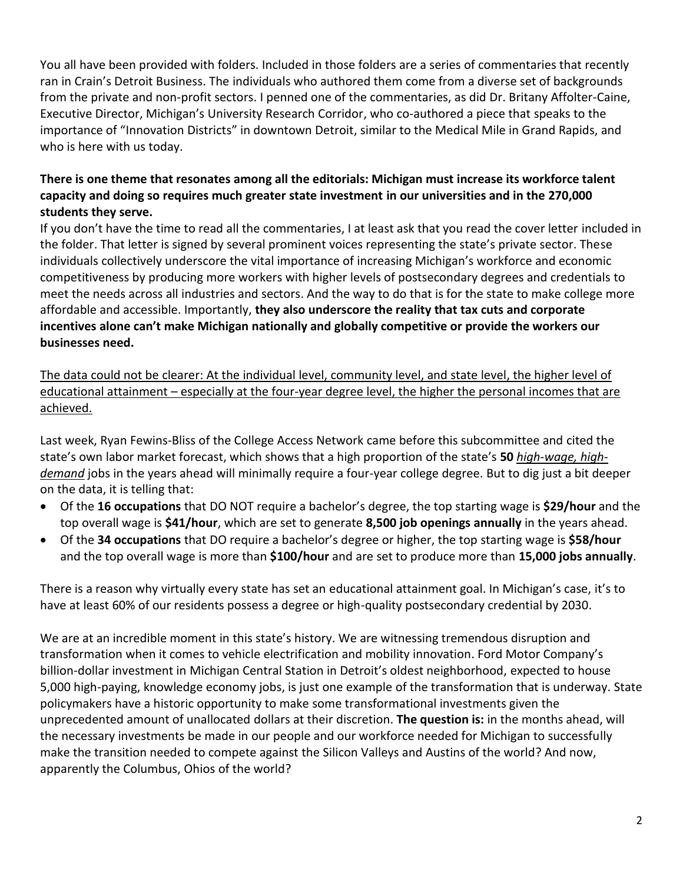You all have been provided with folders. Included in those folders are a series of commentaries that recently ran in Crain's Detroit Business. The individuals who authored them come from a diverse set of backgrounds from the private and non-profit sectors. I penned one of the commentaries, as did Dr. Britany Affolter-Caine, Executive Director, Michigan's University Research Corridor, who co-authored a piece that speaks to the importance of "Innovation Districts" in downtown Detroit, similar to the Medical Mile in Grand Rapids, and who is here with us today.

## **There is one theme that resonates among all the editorials: Michigan must increase its workforce talent capacity and doing so requires much greater state investment in our universities and in the 270,000 students they serve.**

If you don't have the time to read all the commentaries, I at least ask that you read the cover letter included in the folder. That letter is signed by several prominent voices representing the state's private sector. These individuals collectively underscore the vital importance of increasing Michigan's workforce and economic competitiveness by producing more workers with higher levels of postsecondary degrees and credentials to meet the needs across all industries and sectors. And the way to do that is for the state to make college more affordable and accessible. Importantly, **they also underscore the reality that tax cuts and corporate incentives alone can't make Michigan nationally and globally competitive or provide the workers our businesses need.**

The data could not be clearer: At the individual level, community level, and state level, the higher level of educational attainment – especially at the four-year degree level, the higher the personal incomes that are achieved.

Last week, Ryan Fewins-Bliss of the College Access Network came before this subcommittee and cited the state's own labor market forecast, which shows that a high proportion of the state's **50** *high-wage, highdemand* jobs in the years ahead will minimally require a four-year college degree. But to dig just a bit deeper on the data, it is telling that:

- Of the **16 occupations** that DO NOT require a bachelor's degree, the top starting wage is **\$29/hour** and the top overall wage is **\$41/hour**, which are set to generate **8,500 job openings annually** in the years ahead.
- Of the **34 occupations** that DO require a bachelor's degree or higher, the top starting wage is **\$58/hour** and the top overall wage is more than **\$100/hour** and are set to produce more than **15,000 jobs annually**.

There is a reason why virtually every state has set an educational attainment goal. In Michigan's case, it's to have at least 60% of our residents possess a degree or high-quality postsecondary credential by 2030.

We are at an incredible moment in this state's history. We are witnessing tremendous disruption and transformation when it comes to vehicle electrification and mobility innovation. Ford Motor Company's billion-dollar investment in Michigan Central Station in Detroit's oldest neighborhood, expected to house 5,000 high-paying, knowledge economy jobs, is just one example of the transformation that is underway. State policymakers have a historic opportunity to make some transformational investments given the unprecedented amount of unallocated dollars at their discretion. **The question is:** in the months ahead, will the necessary investments be made in our people and our workforce needed for Michigan to successfully make the transition needed to compete against the Silicon Valleys and Austins of the world? And now, apparently the Columbus, Ohios of the world?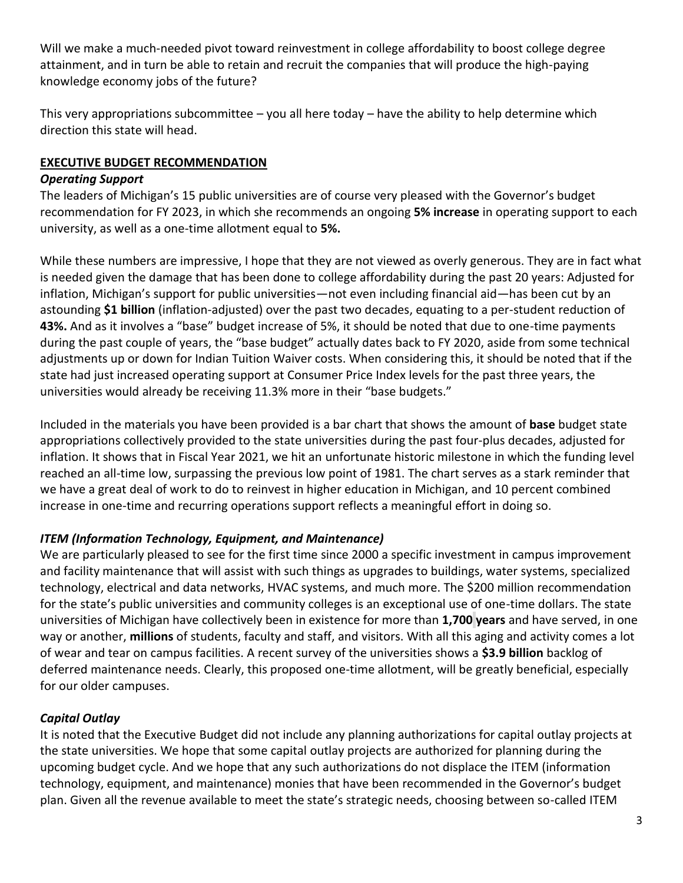Will we make a much-needed pivot toward reinvestment in college affordability to boost college degree attainment, and in turn be able to retain and recruit the companies that will produce the high-paying knowledge economy jobs of the future?

This very appropriations subcommittee – you all here today – have the ability to help determine which direction this state will head.

## **EXECUTIVE BUDGET RECOMMENDATION**

### *Operating Support*

The leaders of Michigan's 15 public universities are of course very pleased with the Governor's budget recommendation for FY 2023, in which she recommends an ongoing **5% increase** in operating support to each university, as well as a one-time allotment equal to **5%.**

While these numbers are impressive, I hope that they are not viewed as overly generous. They are in fact what is needed given the damage that has been done to college affordability during the past 20 years: Adjusted for inflation, Michigan's support for public universities—not even including financial aid—has been cut by an astounding **\$1 billion** (inflation-adjusted) over the past two decades, equating to a per-student reduction of **43%.** And as it involves a "base" budget increase of 5%, it should be noted that due to one-time payments during the past couple of years, the "base budget" actually dates back to FY 2020, aside from some technical adjustments up or down for Indian Tuition Waiver costs. When considering this, it should be noted that if the state had just increased operating support at Consumer Price Index levels for the past three years, the universities would already be receiving 11.3% more in their "base budgets."

Included in the materials you have been provided is a bar chart that shows the amount of **base** budget state appropriations collectively provided to the state universities during the past four-plus decades, adjusted for inflation. It shows that in Fiscal Year 2021, we hit an unfortunate historic milestone in which the funding level reached an all-time low, surpassing the previous low point of 1981. The chart serves as a stark reminder that we have a great deal of work to do to reinvest in higher education in Michigan, and 10 percent combined increase in one-time and recurring operations support reflects a meaningful effort in doing so.

# *ITEM (Information Technology, Equipment, and Maintenance)*

We are particularly pleased to see for the first time since 2000 a specific investment in campus improvement and facility maintenance that will assist with such things as upgrades to buildings, water systems, specialized technology, electrical and data networks, HVAC systems, and much more. The \$200 million recommendation for the state's public universities and community colleges is an exceptional use of one-time dollars. The state universities of Michigan have collectively been in existence for more than **1,700 years** and have served, in one way or another, **millions** of students, faculty and staff, and visitors. With all this aging and activity comes a lot of wear and tear on campus facilities. A recent survey of the universities shows a **\$3.9 billion** backlog of deferred maintenance needs. Clearly, this proposed one-time allotment, will be greatly beneficial, especially for our older campuses.

# *Capital Outlay*

It is noted that the Executive Budget did not include any planning authorizations for capital outlay projects at the state universities. We hope that some capital outlay projects are authorized for planning during the upcoming budget cycle. And we hope that any such authorizations do not displace the ITEM (information technology, equipment, and maintenance) monies that have been recommended in the Governor's budget plan. Given all the revenue available to meet the state's strategic needs, choosing between so-called ITEM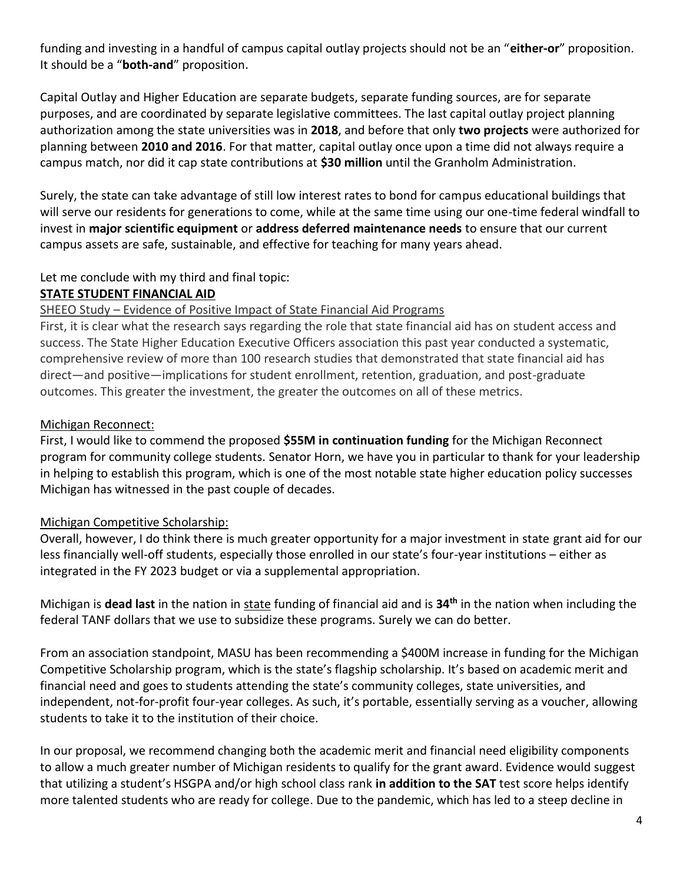funding and investing in a handful of campus capital outlay projects should not be an "**either-or**" proposition. It should be a "**both-and**" proposition.

Capital Outlay and Higher Education are separate budgets, separate funding sources, are for separate purposes, and are coordinated by separate legislative committees. The last capital outlay project planning authorization among the state universities was in **2018**, and before that only **two projects** were authorized for planning between **2010 and 2016**. For that matter, capital outlay once upon a time did not always require a campus match, nor did it cap state contributions at **\$30 million** until the Granholm Administration.

Surely, the state can take advantage of still low interest rates to bond for campus educational buildings that will serve our residents for generations to come, while at the same time using our one-time federal windfall to invest in **major scientific equipment** or **address deferred maintenance needs** to ensure that our current campus assets are safe, sustainable, and effective for teaching for many years ahead.

#### Let me conclude with my third and final topic:

#### **STATE STUDENT FINANCIAL AID**

#### SHEEO Study – Evidence of Positive Impact of State Financial Aid Programs

First, it is clear what the research says regarding the role that state financial aid has on student access and success. The State Higher Education Executive Officers association this past year conducted a systematic, comprehensive review of more than 100 research studies that demonstrated that state financial aid has direct—and positive—implications for student enrollment, retention, graduation, and post-graduate outcomes. This greater the investment, the greater the outcomes on all of these metrics.

#### Michigan Reconnect:

First, I would like to commend the proposed **\$55M in continuation funding** for the Michigan Reconnect program for community college students. Senator Horn, we have you in particular to thank for your leadership in helping to establish this program, which is one of the most notable state higher education policy successes Michigan has witnessed in the past couple of decades.

### Michigan Competitive Scholarship:

Overall, however, I do think there is much greater opportunity for a major investment in state grant aid for our less financially well-off students, especially those enrolled in our state's four-year institutions – either as integrated in the FY 2023 budget or via a supplemental appropriation.

Michigan is **dead last** in the nation in state funding of financial aid and is **34th** in the nation when including the federal TANF dollars that we use to subsidize these programs. Surely we can do better.

From an association standpoint, MASU has been recommending a \$400M increase in funding for the Michigan Competitive Scholarship program, which is the state's flagship scholarship. It's based on academic merit and financial need and goes to students attending the state's community colleges, state universities, and independent, not-for-profit four-year colleges. As such, it's portable, essentially serving as a voucher, allowing students to take it to the institution of their choice.

In our proposal, we recommend changing both the academic merit and financial need eligibility components to allow a much greater number of Michigan residents to qualify for the grant award. Evidence would suggest that utilizing a student's HSGPA and/or high school class rank **in addition to the SAT** test score helps identify more talented students who are ready for college. Due to the pandemic, which has led to a steep decline in